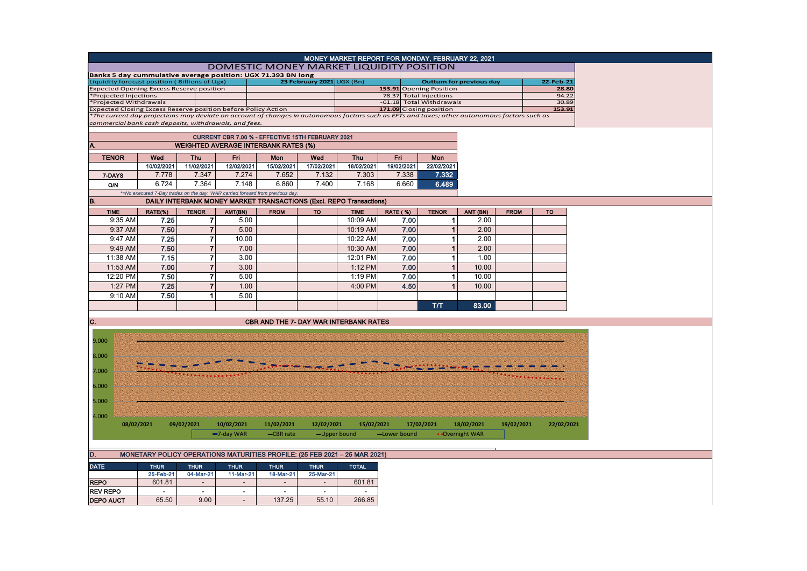| MONEY MARKET REPORT FOR MONDAY, FEBRUARY 22, 2021<br><b>DOMESTIC MONEY MARKET LIQUIDITY POSITION</b> |                                                   |                |                |                                                                               |                                                                                                                                              |                |                                                    |                                 |                         |                 |                      |            |  |
|------------------------------------------------------------------------------------------------------|---------------------------------------------------|----------------|----------------|-------------------------------------------------------------------------------|----------------------------------------------------------------------------------------------------------------------------------------------|----------------|----------------------------------------------------|---------------------------------|-------------------------|-----------------|----------------------|------------|--|
| Banks 5 day cummulative average position: UGX 71.393 BN long                                         |                                                   |                |                |                                                                               |                                                                                                                                              |                |                                                    |                                 |                         |                 |                      |            |  |
| Liquidity forecast position (Billions of Ugx)<br>23 February 2021 UGX (Bn)                           |                                                   |                |                |                                                                               |                                                                                                                                              |                |                                                    | <b>Outturn for previous day</b> |                         |                 |                      | 22-Feb-21  |  |
| <b>Expected Opening Excess Reserve position</b>                                                      |                                                   |                |                |                                                                               |                                                                                                                                              |                |                                                    |                                 | 153.91 Opening Position |                 |                      | 28.80      |  |
| Projected Injections                                                                                 |                                                   |                |                |                                                                               |                                                                                                                                              |                | 78.37 Total Injections<br>-61.18 Total Withdrawals |                                 |                         |                 | 94.22<br>30.89       |            |  |
| Projected Withdrawals<br>Expected Closing Excess Reserve position before Policy Action               |                                                   |                |                |                                                                               |                                                                                                                                              |                | 171.09 Closing position                            |                                 |                         |                 | 153.91               |            |  |
|                                                                                                      |                                                   |                |                |                                                                               | The current day projections may deviate on account of changes in autonomous factors such as EFTs and taxes; other autonomous factors such as |                |                                                    |                                 |                         |                 |                      |            |  |
| commercial bank cash deposits, withdrawals, and fees.                                                |                                                   |                |                |                                                                               |                                                                                                                                              |                |                                                    |                                 |                         |                 |                      |            |  |
|                                                                                                      | CURRENT CBR 7.00 % - EFFECTIVE 15TH FEBRUARY 2021 |                |                |                                                                               |                                                                                                                                              |                |                                                    |                                 |                         |                 |                      |            |  |
|                                                                                                      |                                                   |                |                | <b>WEIGHTED AVERAGE INTERBANK RATES (%)</b>                                   |                                                                                                                                              |                |                                                    |                                 |                         |                 |                      |            |  |
|                                                                                                      |                                                   |                |                |                                                                               |                                                                                                                                              |                |                                                    |                                 |                         |                 |                      |            |  |
| <b>TENOR</b>                                                                                         | Wed                                               | <b>Thu</b>     | Fri.           | Mon                                                                           | Wed                                                                                                                                          | <b>Thu</b>     | <b>Fri</b>                                         |                                 | <b>Mon</b>              |                 |                      |            |  |
|                                                                                                      | 10/02/2021                                        | 11/02/2021     | 12/02/2021     | 15/02/2021                                                                    | 17/02/2021                                                                                                                                   | 18/02/2021     | 19/02/2021                                         |                                 | 22/02/2021              |                 |                      |            |  |
| 7-DAYS                                                                                               | 7.778                                             | 7.347          | 7.274          | 7.652                                                                         | 7.132                                                                                                                                        | 7.303          | 7.338                                              |                                 | 7.332                   |                 |                      |            |  |
| O/N                                                                                                  | 6.724                                             | 7.364          | 7.148          | 6.860                                                                         | 7.400                                                                                                                                        | 7.168          |                                                    | 6.660                           | 6.489                   |                 |                      |            |  |
|                                                                                                      |                                                   |                |                | *=No executed 7-Day trades on the day. WAR carried forward from previous day. |                                                                                                                                              |                |                                                    |                                 |                         |                 |                      |            |  |
| B.                                                                                                   |                                                   |                |                | <b>DAILY INTERBANK MONEY MARKET TRANSACTIONS (Excl. REPO Transactions)</b>    |                                                                                                                                              |                |                                                    |                                 |                         |                 |                      |            |  |
| <b>TIME</b>                                                                                          | RATE(%)                                           | <b>TENOR</b>   | AMT(BN)        | <b>FROM</b>                                                                   | <b>TO</b>                                                                                                                                    | <b>TIME</b>    | RATE (%)                                           |                                 | <b>TENOR</b>            | AMT (BN)        | <b>FROM</b>          | <b>TO</b>  |  |
| 9:35 AM                                                                                              | 7.25                                              | 7              | 5.00           |                                                                               |                                                                                                                                              | 10:09 AM       | 7.00                                               |                                 | 1                       | 2.00            |                      |            |  |
| 9:37 AM                                                                                              | 7.50                                              | $\overline{7}$ | 5.00           |                                                                               |                                                                                                                                              | 10:19 AM       | 7.00                                               |                                 | $\mathbf{1}$            | 2.00            |                      |            |  |
| 9:47 AM                                                                                              | 7.25                                              | $\overline{7}$ | 10.00          |                                                                               |                                                                                                                                              | 10:22 AM       | 7.00                                               |                                 | 1                       | 2.00            |                      |            |  |
| 9:49 AM                                                                                              | 7.50                                              | $\overline{7}$ | 7.00           |                                                                               |                                                                                                                                              | 10:30 AM       | 7.00                                               |                                 | $\mathbf{1}$            | 2.00            |                      |            |  |
| 11:38 AM                                                                                             | 7.15                                              | $\mathbf{7}$   | 3.00           |                                                                               |                                                                                                                                              | 12:01 PM       | 7.00                                               |                                 | 1                       | 1.00            |                      |            |  |
| 11:53 AM                                                                                             | 7.00                                              | $\overline{7}$ | 3.00           |                                                                               |                                                                                                                                              | 1:12 PM        | 7.00                                               |                                 | $\mathbf{1}$            | 10.00           |                      |            |  |
| 12:20 PM                                                                                             | 7.50                                              | $\overline{7}$ | 5.00           |                                                                               |                                                                                                                                              | 1:19 PM        |                                                    | 7.00                            | 1                       | 10.00           |                      |            |  |
|                                                                                                      | 7.25                                              | $\overline{7}$ |                |                                                                               |                                                                                                                                              |                |                                                    |                                 | $\mathbf{1}$            |                 |                      |            |  |
| 1:27 PM                                                                                              |                                                   |                | 1.00           |                                                                               |                                                                                                                                              | 4:00 PM        |                                                    | 4.50                            |                         | 10.00           |                      |            |  |
| 9:10 AM                                                                                              | 7.50                                              | $\mathbf{1}$   | 5.00           |                                                                               |                                                                                                                                              |                |                                                    |                                 |                         |                 |                      |            |  |
|                                                                                                      |                                                   |                |                |                                                                               |                                                                                                                                              |                |                                                    |                                 | <b>Т/Т</b>              | 83.00           |                      |            |  |
|                                                                                                      |                                                   |                |                |                                                                               |                                                                                                                                              |                |                                                    |                                 |                         |                 |                      |            |  |
| C.                                                                                                   |                                                   |                |                | <b>CBR AND THE 7- DAY WAR INTERBANK RATES</b>                                 |                                                                                                                                              |                |                                                    |                                 |                         |                 |                      |            |  |
|                                                                                                      |                                                   |                |                |                                                                               |                                                                                                                                              |                |                                                    |                                 |                         |                 |                      |            |  |
| 9.000                                                                                                |                                                   |                |                |                                                                               |                                                                                                                                              |                |                                                    |                                 |                         |                 |                      |            |  |
| 8.000                                                                                                |                                                   |                |                |                                                                               |                                                                                                                                              |                |                                                    |                                 |                         |                 |                      |            |  |
|                                                                                                      |                                                   |                |                |                                                                               |                                                                                                                                              |                |                                                    |                                 |                         |                 |                      |            |  |
| 7.000                                                                                                |                                                   |                |                |                                                                               |                                                                                                                                              |                |                                                    |                                 |                         |                 |                      |            |  |
|                                                                                                      |                                                   |                |                |                                                                               |                                                                                                                                              |                |                                                    |                                 |                         |                 | <b>COLORO CONTRA</b> |            |  |
| 6.000                                                                                                |                                                   |                |                |                                                                               |                                                                                                                                              |                |                                                    |                                 |                         |                 |                      |            |  |
| 5.000                                                                                                |                                                   |                |                |                                                                               |                                                                                                                                              |                |                                                    |                                 |                         |                 |                      |            |  |
|                                                                                                      |                                                   |                |                |                                                                               |                                                                                                                                              |                |                                                    |                                 |                         |                 |                      |            |  |
| 4.000                                                                                                |                                                   |                |                |                                                                               |                                                                                                                                              |                |                                                    |                                 |                         |                 |                      |            |  |
|                                                                                                      | 08/02/2021                                        | 09/02/2021     | 10/02/2021     | 11/02/2021                                                                    | 12/02/2021                                                                                                                                   | 15/02/2021     |                                                    |                                 | 17/02/2021              | 18/02/2021      | 19/02/2021           | 22/02/2021 |  |
|                                                                                                      |                                                   |                | $-7$ -day WAR  | -CBR rate                                                                     | -Upper bound                                                                                                                                 |                | -Lower bound                                       |                                 |                         | • Overnight WAR |                      |            |  |
|                                                                                                      |                                                   |                |                |                                                                               |                                                                                                                                              |                |                                                    |                                 |                         |                 |                      |            |  |
|                                                                                                      |                                                   |                |                |                                                                               |                                                                                                                                              |                |                                                    |                                 |                         |                 |                      |            |  |
| D.                                                                                                   |                                                   |                |                | MONETARY POLICY OPERATIONS MATURITIES PROFILE: (25 FEB 2021 - 25 MAR 2021)    |                                                                                                                                              |                |                                                    |                                 |                         |                 |                      |            |  |
| <b>DATE</b>                                                                                          | <b>THUR</b>                                       | <b>THUR</b>    | <b>THUR</b>    | <b>THUR</b>                                                                   | <b>THUR</b>                                                                                                                                  | <b>TOTAL</b>   |                                                    |                                 |                         |                 |                      |            |  |
|                                                                                                      | 25-Feb-21                                         | 04-Mar-21      | 11-Mar-21      | 18-Mar-21                                                                     | 25-Mar-21                                                                                                                                    |                |                                                    |                                 |                         |                 |                      |            |  |
| <b>REPO</b>                                                                                          | 601.81                                            |                | $\overline{a}$ |                                                                               | $\overline{a}$                                                                                                                               | 601.81         |                                                    |                                 |                         |                 |                      |            |  |
| <b>REV REPO</b>                                                                                      | $\overline{a}$                                    | $\sim$         | $\sim$         | $\sim$                                                                        | $\sim$                                                                                                                                       | $\overline{a}$ |                                                    |                                 |                         |                 |                      |            |  |
| <b>DEPO AUCT</b>                                                                                     | 65.50                                             | 9.00           | $\sim$         | 137.25                                                                        | 55.10                                                                                                                                        | 266.85         |                                                    |                                 |                         |                 |                      |            |  |